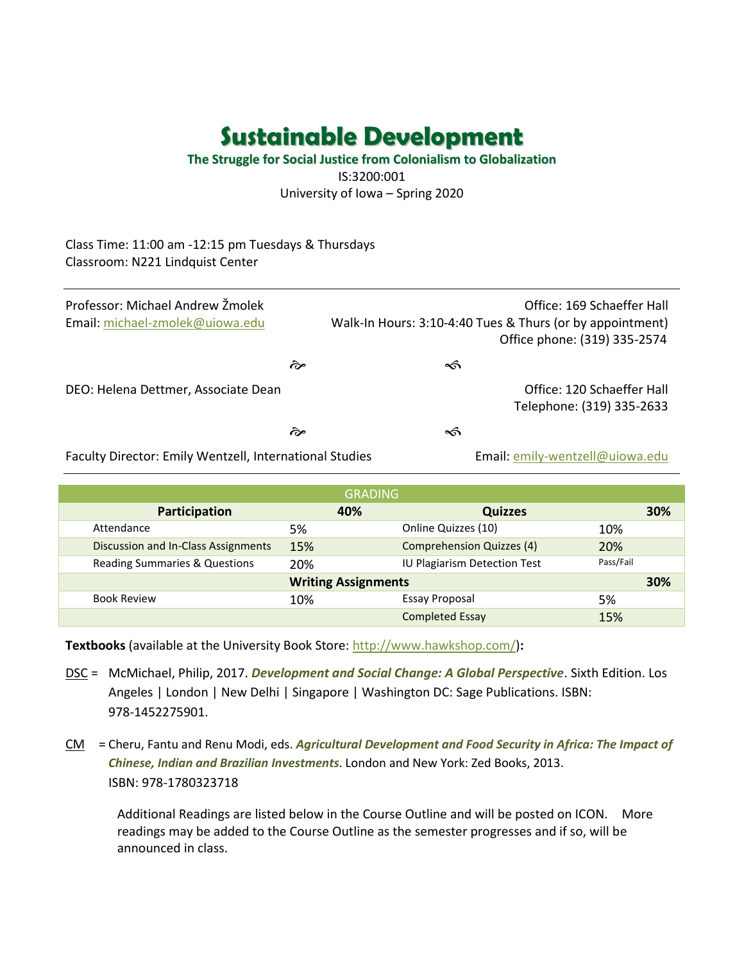**The Struggle for Social Justice from Colonialism to Globalization** IS:3200:001 University of Iowa – Spring 2020

Class Time: 11:00 am -12:15 pm Tuesdays & Thursdays Classroom: N221 Lindquist Center

| Professor: Michael Andrew Žmolek<br>Email: michael-zmolek@uiowa.edu | Office: 169 Schaeffer Hall<br>Walk-In Hours: 3:10-4:40 Tues & Thurs (or by appointment)<br>Office phone: (319) 335-2574 |   |  |                                                         |
|---------------------------------------------------------------------|-------------------------------------------------------------------------------------------------------------------------|---|--|---------------------------------------------------------|
|                                                                     | কৈ                                                                                                                      | ∽ |  |                                                         |
| DEO: Helena Dettmer, Associate Dean                                 |                                                                                                                         |   |  | Office: 120 Schaeffer Hall<br>Telephone: (319) 335-2633 |
|                                                                     | কৈ                                                                                                                      | ∽ |  |                                                         |
|                                                                     |                                                                                                                         |   |  | $\cdots$ $\cdots$ $\cdots$                              |

Faculty Director: Emily Wentzell, International Studies Email: [emily-wentzell@uiowa.edu](mailto:emily-wentzell@uiowa.edu)

| <b>GRADING</b>                           |                            |                                  |           |     |  |  |  |
|------------------------------------------|----------------------------|----------------------------------|-----------|-----|--|--|--|
| Participation                            | 40%                        | <b>Quizzes</b>                   |           | 30% |  |  |  |
| Attendance                               | 5%                         | Online Quizzes (10)              | 10%       |     |  |  |  |
| Discussion and In-Class Assignments      | 15%                        | <b>Comprehension Quizzes (4)</b> | 20%       |     |  |  |  |
| <b>Reading Summaries &amp; Questions</b> | 20%                        | IU Plagiarism Detection Test     | Pass/Fail |     |  |  |  |
|                                          | <b>Writing Assignments</b> |                                  |           | 30% |  |  |  |
| <b>Book Review</b>                       | 10%                        | Essay Proposal                   | 5%        |     |  |  |  |
|                                          |                            | <b>Completed Essay</b>           | 15%       |     |  |  |  |

**Textbooks** (available at the University Book Store: [http://www.hawkshop.com/\)](http://www.hawkshop.com/)**:**

- DSC = McMichael, Philip, 2017. *Development and Social Change: A Global Perspective*. Sixth Edition. Los Angeles | London | New Delhi | Singapore | Washington DC: Sage Publications. ISBN: 978-1452275901.
- CM = Cheru, Fantu and Renu Modi, eds. *Agricultural Development and Food Security in Africa: The Impact of Chinese, Indian and Brazilian Investments*. London and New York: Zed Books, 2013. ISBN: 978-1780323718

Additional Readings are listed below in the Course Outline and will be posted on ICON. More readings may be added to the Course Outline as the semester progresses and if so, will be announced in class.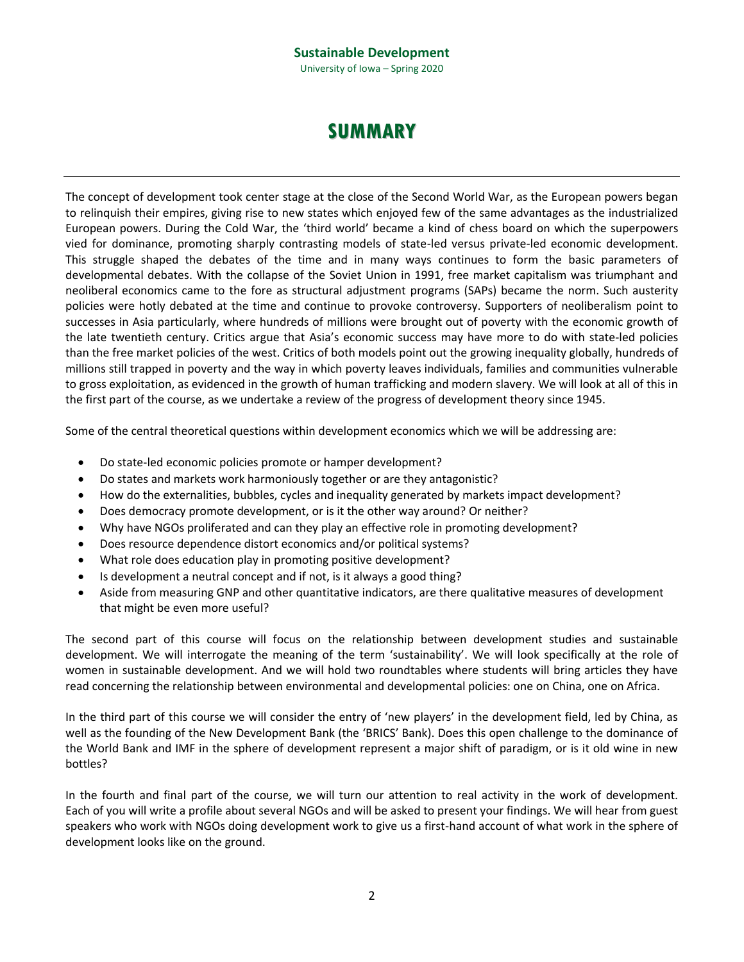#### **Sustainable Development** University of Iowa – Spring 2020

## **SUMMARY**

The concept of development took center stage at the close of the Second World War, as the European powers began to relinquish their empires, giving rise to new states which enjoyed few of the same advantages as the industrialized European powers. During the Cold War, the 'third world' became a kind of chess board on which the superpowers vied for dominance, promoting sharply contrasting models of state-led versus private-led economic development. This struggle shaped the debates of the time and in many ways continues to form the basic parameters of developmental debates. With the collapse of the Soviet Union in 1991, free market capitalism was triumphant and neoliberal economics came to the fore as structural adjustment programs (SAPs) became the norm. Such austerity policies were hotly debated at the time and continue to provoke controversy. Supporters of neoliberalism point to successes in Asia particularly, where hundreds of millions were brought out of poverty with the economic growth of the late twentieth century. Critics argue that Asia's economic success may have more to do with state-led policies than the free market policies of the west. Critics of both models point out the growing inequality globally, hundreds of millions still trapped in poverty and the way in which poverty leaves individuals, families and communities vulnerable to gross exploitation, as evidenced in the growth of human trafficking and modern slavery. We will look at all of this in the first part of the course, as we undertake a review of the progress of development theory since 1945.

Some of the central theoretical questions within development economics which we will be addressing are:

- Do state-led economic policies promote or hamper development?
- Do states and markets work harmoniously together or are they antagonistic?
- How do the externalities, bubbles, cycles and inequality generated by markets impact development?
- Does democracy promote development, or is it the other way around? Or neither?
- Why have NGOs proliferated and can they play an effective role in promoting development?
- Does resource dependence distort economics and/or political systems?
- What role does education play in promoting positive development?
- Is development a neutral concept and if not, is it always a good thing?
- Aside from measuring GNP and other quantitative indicators, are there qualitative measures of development that might be even more useful?

The second part of this course will focus on the relationship between development studies and sustainable development. We will interrogate the meaning of the term 'sustainability'. We will look specifically at the role of women in sustainable development. And we will hold two roundtables where students will bring articles they have read concerning the relationship between environmental and developmental policies: one on China, one on Africa.

In the third part of this course we will consider the entry of 'new players' in the development field, led by China, as well as the founding of the New Development Bank (the 'BRICS' Bank). Does this open challenge to the dominance of the World Bank and IMF in the sphere of development represent a major shift of paradigm, or is it old wine in new bottles?

In the fourth and final part of the course, we will turn our attention to real activity in the work of development. Each of you will write a profile about several NGOs and will be asked to present your findings. We will hear from guest speakers who work with NGOs doing development work to give us a first-hand account of what work in the sphere of development looks like on the ground.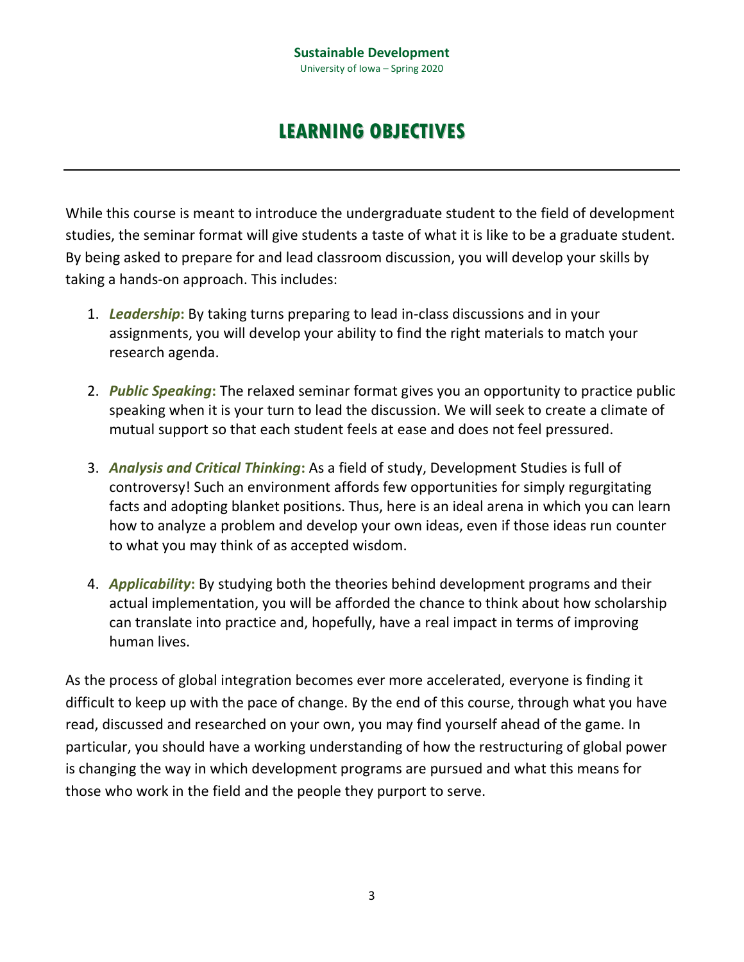## **LEARNING OBJECTIVES**

While this course is meant to introduce the undergraduate student to the field of development studies, the seminar format will give students a taste of what it is like to be a graduate student. By being asked to prepare for and lead classroom discussion, you will develop your skills by taking a hands-on approach. This includes:

- 1. *Leadership***:** By taking turns preparing to lead in-class discussions and in your assignments, you will develop your ability to find the right materials to match your research agenda.
- 2. *Public Speaking***:** The relaxed seminar format gives you an opportunity to practice public speaking when it is your turn to lead the discussion. We will seek to create a climate of mutual support so that each student feels at ease and does not feel pressured.
- 3. *Analysis and Critical Thinking***:** As a field of study, Development Studies is full of controversy! Such an environment affords few opportunities for simply regurgitating facts and adopting blanket positions. Thus, here is an ideal arena in which you can learn how to analyze a problem and develop your own ideas, even if those ideas run counter to what you may think of as accepted wisdom.
- 4. *Applicability***:** By studying both the theories behind development programs and their actual implementation, you will be afforded the chance to think about how scholarship can translate into practice and, hopefully, have a real impact in terms of improving human lives.

As the process of global integration becomes ever more accelerated, everyone is finding it difficult to keep up with the pace of change. By the end of this course, through what you have read, discussed and researched on your own, you may find yourself ahead of the game. In particular, you should have a working understanding of how the restructuring of global power is changing the way in which development programs are pursued and what this means for those who work in the field and the people they purport to serve.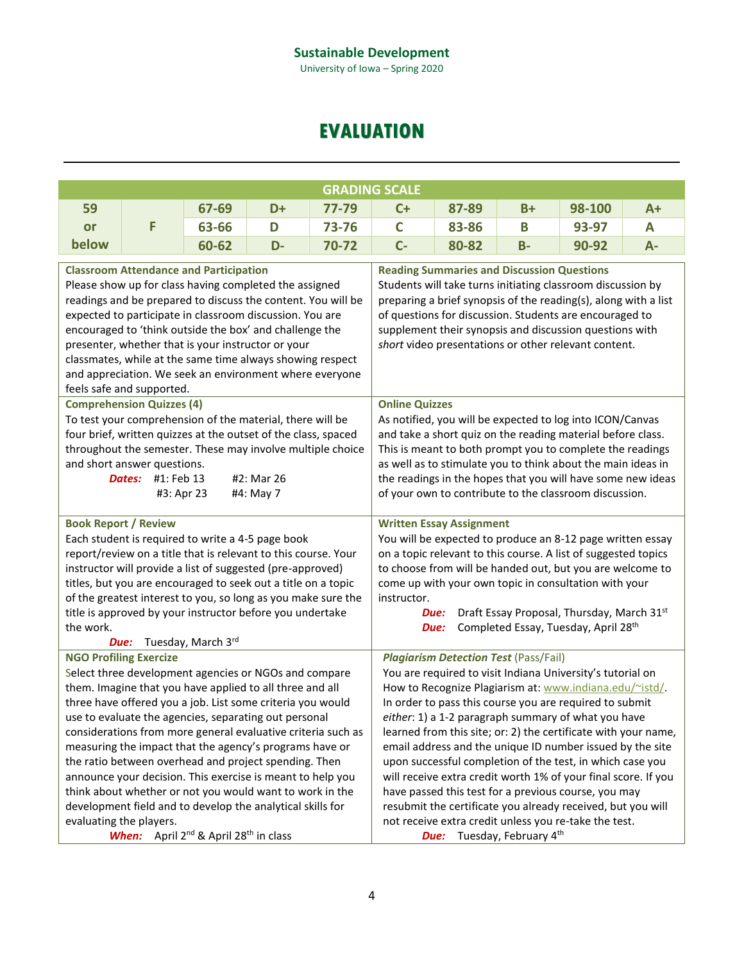University of Iowa – Spring 2020

## **EVALUATION**

|       |       |    | <b>GRADING SCALE</b> |    |       |       |        |      |
|-------|-------|----|----------------------|----|-------|-------|--------|------|
| 59    | 67-69 | D+ | $77 - 79$            | C+ | 87-89 | $B+$  | 98-100 | $A+$ |
| or    | 63-66 | D  | 73-76                | ◡  | 83-86 | В     | 93-97  | A    |
| below | 60-62 | D- | $70 - 72$            | C- | 80-82 | $B -$ | 90-92  | А-   |
|       |       |    |                      |    |       |       |        |      |

| <b>Classroom Attendance and Participation</b>                  | <b>Reading Summaries and Discussion Questions</b>               |  |  |  |
|----------------------------------------------------------------|-----------------------------------------------------------------|--|--|--|
| Please show up for class having completed the assigned         | Students will take turns initiating classroom discussion by     |  |  |  |
| readings and be prepared to discuss the content. You will be   | preparing a brief synopsis of the reading(s), along with a list |  |  |  |
| expected to participate in classroom discussion. You are       | of questions for discussion. Students are encouraged to         |  |  |  |
| encouraged to 'think outside the box' and challenge the        | supplement their synopsis and discussion questions with         |  |  |  |
| presenter, whether that is your instructor or your             | short video presentations or other relevant content.            |  |  |  |
| classmates, while at the same time always showing respect      |                                                                 |  |  |  |
| and appreciation. We seek an environment where everyone        |                                                                 |  |  |  |
| feels safe and supported.                                      |                                                                 |  |  |  |
| <b>Comprehension Quizzes (4)</b>                               | <b>Online Quizzes</b>                                           |  |  |  |
| To test your comprehension of the material, there will be      | As notified, you will be expected to log into ICON/Canvas       |  |  |  |
| four brief, written quizzes at the outset of the class, spaced | and take a short quiz on the reading material before class.     |  |  |  |
| throughout the semester. These may involve multiple choice     | This is meant to both prompt you to complete the readings       |  |  |  |
| and short answer questions.                                    | as well as to stimulate you to think about the main ideas in    |  |  |  |
| <b>Dates:</b> #1: Feb 13<br>#2: Mar 26                         | the readings in the hopes that you will have some new ideas     |  |  |  |
| #3: Apr 23<br>#4: May 7                                        | of your own to contribute to the classroom discussion.          |  |  |  |
|                                                                |                                                                 |  |  |  |
| <b>Book Report / Review</b>                                    | <b>Written Essay Assignment</b>                                 |  |  |  |
| Each student is required to write a 4-5 page book              | You will be expected to produce an 8-12 page written essay      |  |  |  |
| report/review on a title that is relevant to this course. Your | on a topic relevant to this course. A list of suggested topics  |  |  |  |
| instructor will provide a list of suggested (pre-approved)     | to choose from will be handed out, but you are welcome to       |  |  |  |
| titles, but you are encouraged to seek out a title on a topic  | come up with your own topic in consultation with your           |  |  |  |
| of the greatest interest to you, so long as you make sure the  | instructor.                                                     |  |  |  |
| title is approved by your instructor before you undertake      | Draft Essay Proposal, Thursday, March 31st<br>Due:              |  |  |  |
| the work.                                                      | Completed Essay, Tuesday, April 28th<br>Due:                    |  |  |  |
| Tuesday, March 3rd<br>Due:                                     |                                                                 |  |  |  |
| <b>NGO Profiling Exercize</b>                                  | <b>Plagiarism Detection Test (Pass/Fail)</b>                    |  |  |  |
| Select three development agencies or NGOs and compare          | You are required to visit Indiana University's tutorial on      |  |  |  |
| them. Imagine that you have applied to all three and all       | How to Recognize Plagiarism at: www.indiana.edu/~istd/          |  |  |  |
| three have offered you a job. List some criteria you would     | In order to pass this course you are required to submit         |  |  |  |
| use to evaluate the agencies, separating out personal          | either: 1) a 1-2 paragraph summary of what you have             |  |  |  |
| considerations from more general evaluative criteria such as   | learned from this site; or: 2) the certificate with your name,  |  |  |  |
| measuring the impact that the agency's programs have or        | email address and the unique ID number issued by the site       |  |  |  |
| the ratio between overhead and project spending. Then          | upon successful completion of the test, in which case you       |  |  |  |
| announce your decision. This exercise is meant to help you     | will receive extra credit worth 1% of your final score. If you  |  |  |  |
| think about whether or not you would want to work in the       | have passed this test for a previous course, you may            |  |  |  |
| development field and to develop the analytical skills for     | resubmit the certificate you already received, but you will     |  |  |  |
| evaluating the players.                                        | not receive extra credit unless you re-take the test.           |  |  |  |
| When: April 2 <sup>nd</sup> & April 28 <sup>th</sup> in class  | <b>Due:</b> Tuesday, February 4 <sup>th</sup>                   |  |  |  |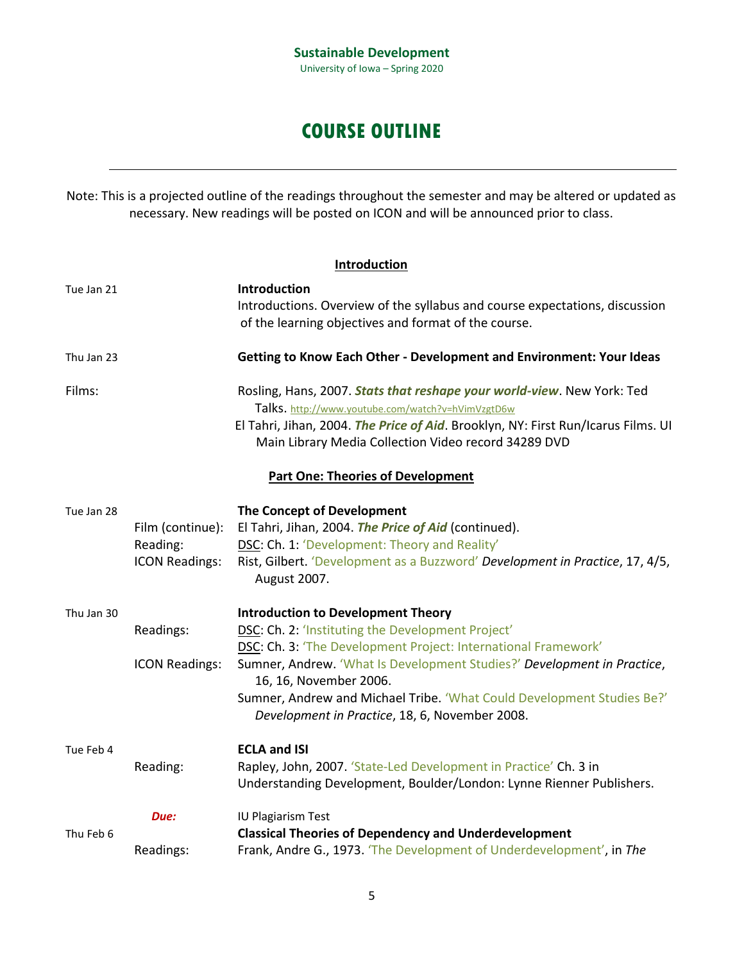## **COURSE OUTLINE**

Note: This is a projected outline of the readings throughout the semester and may be altered or updated as necessary. New readings will be posted on ICON and will be announced prior to class.

|            |                       | Introduction                                                                                                                         |
|------------|-----------------------|--------------------------------------------------------------------------------------------------------------------------------------|
| Tue Jan 21 |                       | Introduction<br>Introductions. Overview of the syllabus and course expectations, discussion                                          |
|            |                       | of the learning objectives and format of the course.                                                                                 |
| Thu Jan 23 |                       | Getting to Know Each Other - Development and Environment: Your Ideas                                                                 |
| Films:     |                       | Rosling, Hans, 2007. Stats that reshape your world-view. New York: Ted<br>Talks. http://www.youtube.com/watch?v=hVimVzgtD6w          |
|            |                       | El Tahri, Jihan, 2004. The Price of Aid. Brooklyn, NY: First Run/Icarus Films. UI                                                    |
|            |                       | Main Library Media Collection Video record 34289 DVD                                                                                 |
|            |                       | <b>Part One: Theories of Development</b>                                                                                             |
| Tue Jan 28 |                       | The Concept of Development                                                                                                           |
|            | Film (continue):      | El Tahri, Jihan, 2004. The Price of Aid (continued).                                                                                 |
|            | Reading:              | DSC: Ch. 1: 'Development: Theory and Reality'                                                                                        |
|            | <b>ICON Readings:</b> | Rist, Gilbert. 'Development as a Buzzword' Development in Practice, 17, 4/5,<br>August 2007.                                         |
| Thu Jan 30 |                       | <b>Introduction to Development Theory</b>                                                                                            |
|            | Readings:             | DSC: Ch. 2: 'Instituting the Development Project'                                                                                    |
|            |                       | DSC: Ch. 3: 'The Development Project: International Framework'                                                                       |
|            | <b>ICON Readings:</b> | Sumner, Andrew. 'What Is Development Studies?' Development in Practice,<br>16, 16, November 2006.                                    |
|            |                       | Sumner, Andrew and Michael Tribe. 'What Could Development Studies Be?'<br>Development in Practice, 18, 6, November 2008.             |
| Tue Feb 4  |                       | <b>ECLA and ISI</b>                                                                                                                  |
|            | Reading:              | Rapley, John, 2007. 'State-Led Development in Practice' Ch. 3 in                                                                     |
|            |                       | Understanding Development, Boulder/London: Lynne Rienner Publishers.                                                                 |
|            | Due:                  | IU Plagiarism Test                                                                                                                   |
| Thu Feb 6  | Readings:             | <b>Classical Theories of Dependency and Underdevelopment</b><br>Frank, Andre G., 1973. 'The Development of Underdevelopment', in The |
|            |                       |                                                                                                                                      |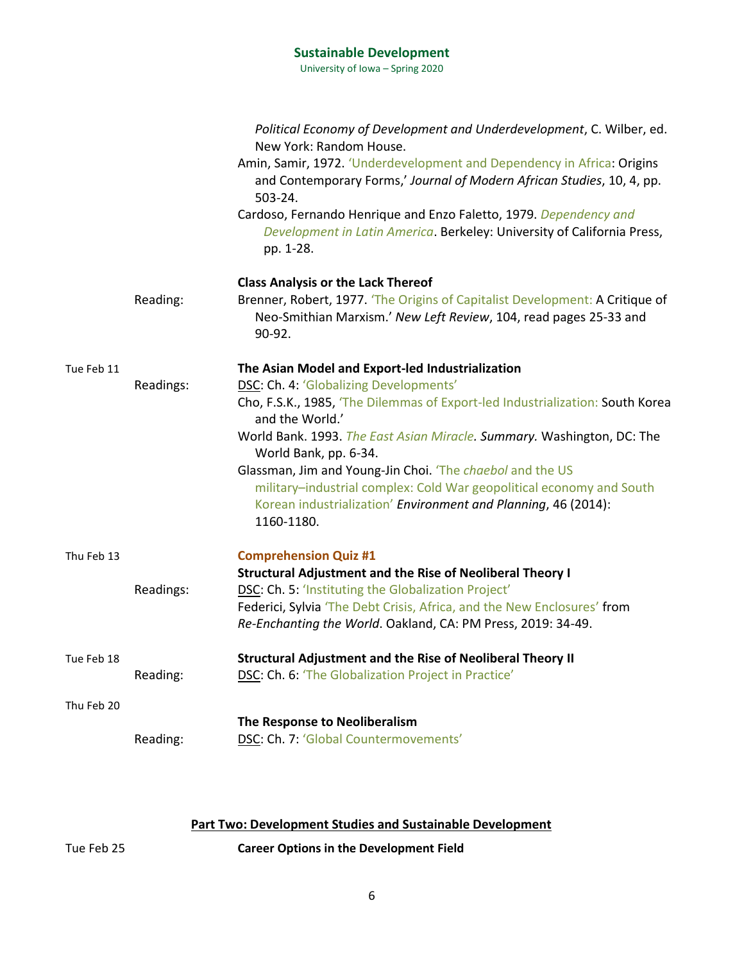University of Iowa – Spring 2020

|            |           | Political Economy of Development and Underdevelopment, C. Wilber, ed.<br>New York: Random House.                                                            |
|------------|-----------|-------------------------------------------------------------------------------------------------------------------------------------------------------------|
|            |           | Amin, Samir, 1972. 'Underdevelopment and Dependency in Africa: Origins<br>and Contemporary Forms,' Journal of Modern African Studies, 10, 4, pp.<br>503-24. |
|            |           | Cardoso, Fernando Henrique and Enzo Faletto, 1979. Dependency and<br>Development in Latin America. Berkeley: University of California Press,<br>pp. 1-28.   |
|            |           | <b>Class Analysis or the Lack Thereof</b>                                                                                                                   |
|            | Reading:  | Brenner, Robert, 1977. 'The Origins of Capitalist Development: A Critique of<br>Neo-Smithian Marxism.' New Left Review, 104, read pages 25-33 and<br>90-92. |
| Tue Feb 11 |           | The Asian Model and Export-led Industrialization                                                                                                            |
|            | Readings: | DSC: Ch. 4: 'Globalizing Developments'                                                                                                                      |
|            |           | Cho, F.S.K., 1985, 'The Dilemmas of Export-led Industrialization: South Korea<br>and the World.'                                                            |
|            |           | World Bank. 1993. The East Asian Miracle. Summary. Washington, DC: The<br>World Bank, pp. 6-34.                                                             |
|            |           | Glassman, Jim and Young-Jin Choi. 'The chaebol and the US                                                                                                   |
|            |           | military-industrial complex: Cold War geopolitical economy and South<br>Korean industrialization' Environment and Planning, 46 (2014):<br>1160-1180.        |
| Thu Feb 13 |           | <b>Comprehension Quiz #1</b>                                                                                                                                |
|            |           | <b>Structural Adjustment and the Rise of Neoliberal Theory I</b>                                                                                            |
|            | Readings: | DSC: Ch. 5: 'Instituting the Globalization Project'                                                                                                         |
|            |           | Federici, Sylvia 'The Debt Crisis, Africa, and the New Enclosures' from                                                                                     |
|            |           | Re-Enchanting the World. Oakland, CA: PM Press, 2019: 34-49.                                                                                                |
| Tue Feb 18 |           | <b>Structural Adjustment and the Rise of Neoliberal Theory II</b>                                                                                           |
|            | Reading:  | DSC: Ch. 6: 'The Globalization Project in Practice'                                                                                                         |
| Thu Feb 20 |           |                                                                                                                                                             |
|            |           | The Response to Neoliberalism                                                                                                                               |
|            | Reading:  | DSC: Ch. 7: 'Global Countermovements'                                                                                                                       |

## **Part Two: Development Studies and Sustainable Development**

Tue Feb 25 **Career Options in the Development Field**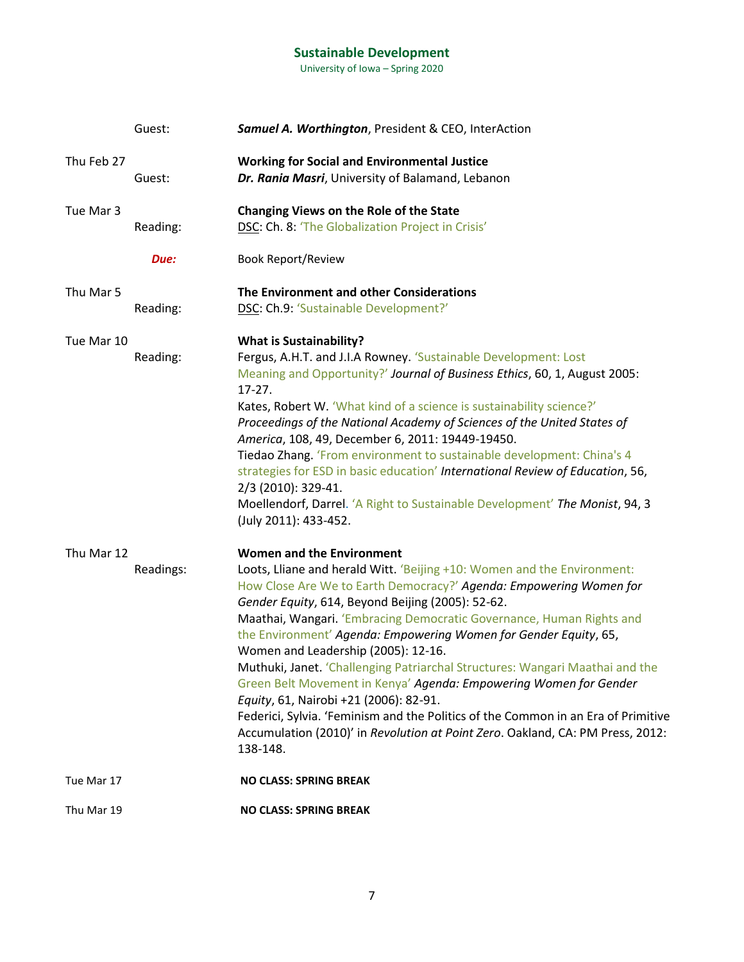University of Iowa – Spring 2020

|            | Guest:    | Samuel A. Worthington, President & CEO, InterAction                                                                                                                                                                                                                                                                                                                                                                                                                                                                                                                                                                                                                                                                                                                                                         |
|------------|-----------|-------------------------------------------------------------------------------------------------------------------------------------------------------------------------------------------------------------------------------------------------------------------------------------------------------------------------------------------------------------------------------------------------------------------------------------------------------------------------------------------------------------------------------------------------------------------------------------------------------------------------------------------------------------------------------------------------------------------------------------------------------------------------------------------------------------|
| Thu Feb 27 | Guest:    | <b>Working for Social and Environmental Justice</b><br>Dr. Rania Masri, University of Balamand, Lebanon                                                                                                                                                                                                                                                                                                                                                                                                                                                                                                                                                                                                                                                                                                     |
| Tue Mar 3  | Reading:  | Changing Views on the Role of the State<br>DSC: Ch. 8: 'The Globalization Project in Crisis'                                                                                                                                                                                                                                                                                                                                                                                                                                                                                                                                                                                                                                                                                                                |
|            | Due:      | <b>Book Report/Review</b>                                                                                                                                                                                                                                                                                                                                                                                                                                                                                                                                                                                                                                                                                                                                                                                   |
| Thu Mar 5  | Reading:  | The Environment and other Considerations<br>DSC: Ch.9: 'Sustainable Development?'                                                                                                                                                                                                                                                                                                                                                                                                                                                                                                                                                                                                                                                                                                                           |
| Tue Mar 10 | Reading:  | <b>What is Sustainability?</b><br>Fergus, A.H.T. and J.I.A Rowney. 'Sustainable Development: Lost<br>Meaning and Opportunity?' Journal of Business Ethics, 60, 1, August 2005:<br>$17-27.$<br>Kates, Robert W. 'What kind of a science is sustainability science?'<br>Proceedings of the National Academy of Sciences of the United States of<br>America, 108, 49, December 6, 2011: 19449-19450.<br>Tiedao Zhang. 'From environment to sustainable development: China's 4<br>strategies for ESD in basic education' International Review of Education, 56,<br>2/3 (2010): 329-41.<br>Moellendorf, Darrel. 'A Right to Sustainable Development' The Monist, 94, 3<br>(July 2011): 433-452.                                                                                                                  |
| Thu Mar 12 | Readings: | <b>Women and the Environment</b><br>Loots, Lliane and herald Witt. 'Beijing +10: Women and the Environment:<br>How Close Are We to Earth Democracy?' Agenda: Empowering Women for<br>Gender Equity, 614, Beyond Beijing (2005): 52-62.<br>Maathai, Wangari. 'Embracing Democratic Governance, Human Rights and<br>the Environment' Agenda: Empowering Women for Gender Equity, 65,<br>Women and Leadership (2005): 12-16.<br>Muthuki, Janet. 'Challenging Patriarchal Structures: Wangari Maathai and the<br>Green Belt Movement in Kenya' Agenda: Empowering Women for Gender<br>Equity, 61, Nairobi +21 (2006): 82-91.<br>Federici, Sylvia. 'Feminism and the Politics of the Common in an Era of Primitive<br>Accumulation (2010)' in Revolution at Point Zero. Oakland, CA: PM Press, 2012:<br>138-148. |
| Tue Mar 17 |           | <b>NO CLASS: SPRING BREAK</b>                                                                                                                                                                                                                                                                                                                                                                                                                                                                                                                                                                                                                                                                                                                                                                               |
| Thu Mar 19 |           | <b>NO CLASS: SPRING BREAK</b>                                                                                                                                                                                                                                                                                                                                                                                                                                                                                                                                                                                                                                                                                                                                                                               |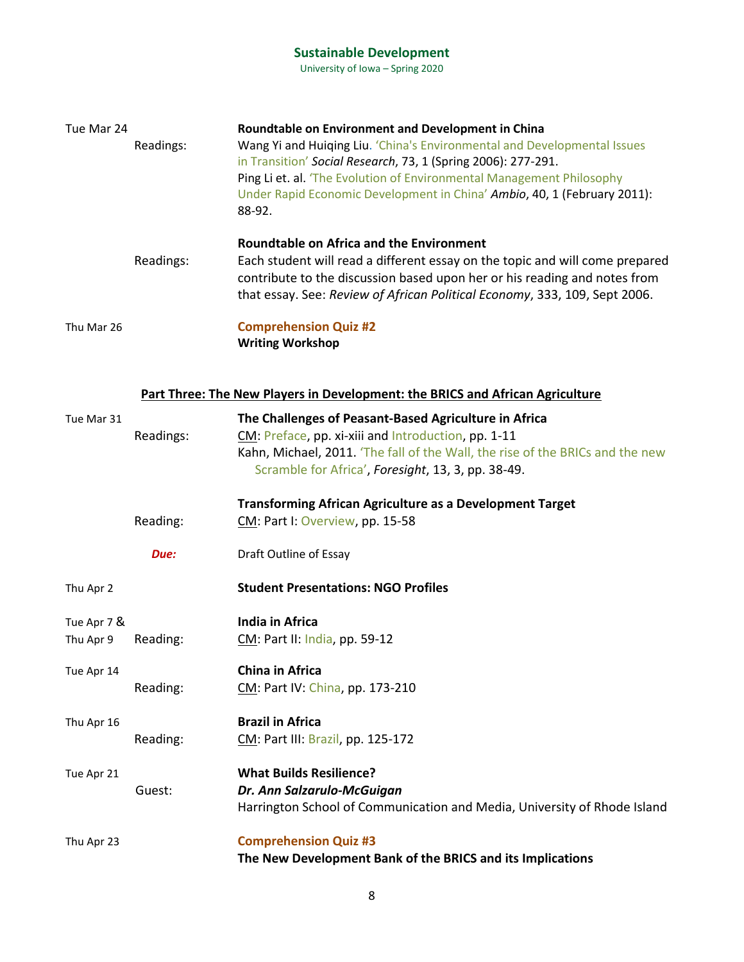University of Iowa – Spring 2020

| Tue Mar 24               | Readings: | Roundtable on Environment and Development in China<br>Wang Yi and Huiqing Liu. 'China's Environmental and Developmental Issues<br>in Transition' Social Research, 73, 1 (Spring 2006): 277-291.<br>Ping Li et. al. 'The Evolution of Environmental Management Philosophy<br>Under Rapid Economic Development in China' Ambio, 40, 1 (February 2011):<br>88-92. |
|--------------------------|-----------|----------------------------------------------------------------------------------------------------------------------------------------------------------------------------------------------------------------------------------------------------------------------------------------------------------------------------------------------------------------|
|                          | Readings: | <b>Roundtable on Africa and the Environment</b><br>Each student will read a different essay on the topic and will come prepared<br>contribute to the discussion based upon her or his reading and notes from<br>that essay. See: Review of African Political Economy, 333, 109, Sept 2006.                                                                     |
| Thu Mar 26               |           | <b>Comprehension Quiz #2</b><br><b>Writing Workshop</b>                                                                                                                                                                                                                                                                                                        |
|                          |           | Part Three: The New Players in Development: the BRICS and African Agriculture                                                                                                                                                                                                                                                                                  |
| Tue Mar 31               | Readings: | The Challenges of Peasant-Based Agriculture in Africa<br>CM: Preface, pp. xi-xiii and Introduction, pp. 1-11<br>Kahn, Michael, 2011. 'The fall of the Wall, the rise of the BRICs and the new<br>Scramble for Africa', Foresight, 13, 3, pp. 38-49.                                                                                                            |
|                          | Reading:  | <b>Transforming African Agriculture as a Development Target</b><br>CM: Part I: Overview, pp. 15-58                                                                                                                                                                                                                                                             |
|                          | Due:      | Draft Outline of Essay                                                                                                                                                                                                                                                                                                                                         |
| Thu Apr 2                |           | <b>Student Presentations: NGO Profiles</b>                                                                                                                                                                                                                                                                                                                     |
| Tue Apr 7 &<br>Thu Apr 9 | Reading:  | <b>India in Africa</b><br>CM: Part II: India, pp. 59-12                                                                                                                                                                                                                                                                                                        |
| Tue Apr 14               | Reading:  | China in Africa<br>CM: Part IV: China, pp. 173-210                                                                                                                                                                                                                                                                                                             |
| Thu Apr 16               | Reading:  | <b>Brazil in Africa</b><br>CM: Part III: Brazil, pp. 125-172                                                                                                                                                                                                                                                                                                   |
| Tue Apr 21               | Guest:    | <b>What Builds Resilience?</b><br>Dr. Ann Salzarulo-McGuigan<br>Harrington School of Communication and Media, University of Rhode Island                                                                                                                                                                                                                       |
|                          |           |                                                                                                                                                                                                                                                                                                                                                                |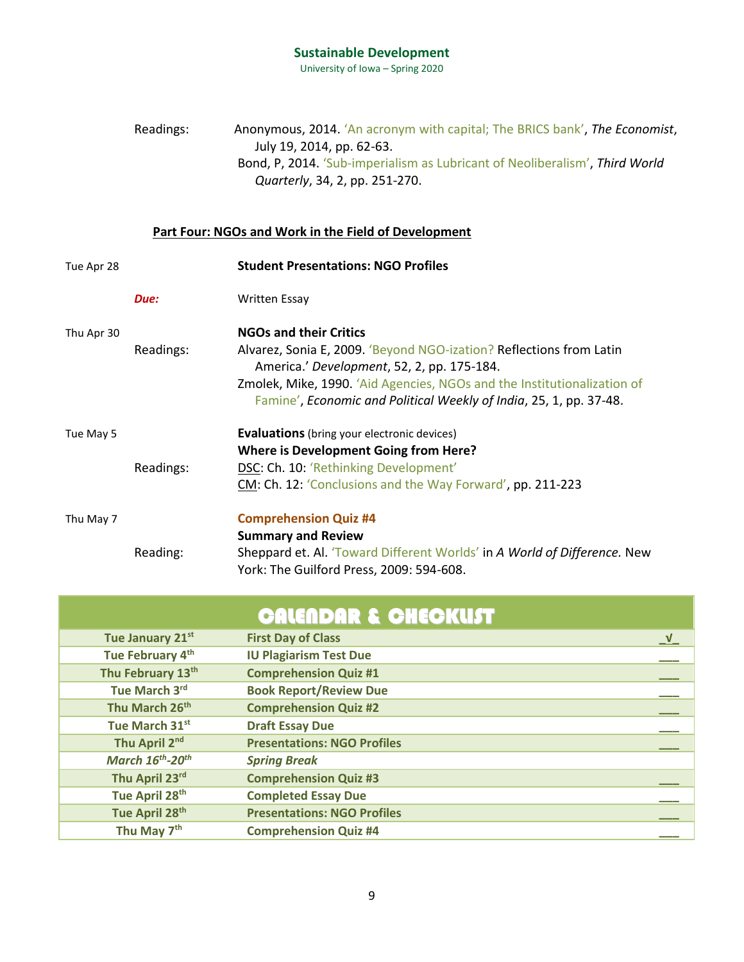University of Iowa – Spring 2020

Readings: Anonymous, 2014. 'An acronym with capital; The BRICS bank', *The Economist*, July 19, 2014, pp. 62-63. Bond, P, 2014. 'Sub-imperialism as Lubricant of Neoliberalism', *Third World Quarterly*, 34, 2, pp. 251-270.

#### **Part Four: NGOs and Work in the Field of Development**

| Tue Apr 28 |           | <b>Student Presentations: NGO Profiles</b>                                                                                                    |
|------------|-----------|-----------------------------------------------------------------------------------------------------------------------------------------------|
|            | Due:      | <b>Written Essay</b>                                                                                                                          |
| Thu Apr 30 |           | <b>NGOs and their Critics</b>                                                                                                                 |
|            | Readings: | Alvarez, Sonia E, 2009. 'Beyond NGO-ization? Reflections from Latin<br>America.' Development, 52, 2, pp. 175-184.                             |
|            |           | Zmolek, Mike, 1990. 'Aid Agencies, NGOs and the Institutionalization of<br>Famine', Economic and Political Weekly of India, 25, 1, pp. 37-48. |
| Tue May 5  |           | <b>Evaluations</b> (bring your electronic devices)                                                                                            |
|            |           | <b>Where is Development Going from Here?</b>                                                                                                  |
|            | Readings: | DSC: Ch. 10: 'Rethinking Development'                                                                                                         |
|            |           | CM: Ch. 12: 'Conclusions and the Way Forward', pp. 211-223                                                                                    |
| Thu May 7  |           | <b>Comprehension Quiz #4</b>                                                                                                                  |
|            |           | <b>Summary and Review</b>                                                                                                                     |
|            | Reading:  | Sheppard et. Al. 'Toward Different Worlds' in A World of Difference. New<br>York: The Guilford Press, 2009: 594-608.                          |

## CALENDAR & CHECKLIST

| Tue January 21st           | <b>First Day of Class</b>          | <u>_v</u> |
|----------------------------|------------------------------------|-----------|
| Tue February 4th           | <b>IU Plagiarism Test Due</b>      |           |
| Thu February 13th          | <b>Comprehension Quiz #1</b>       |           |
| Tue March 3rd              | <b>Book Report/Review Due</b>      |           |
| Thu March 26th             | <b>Comprehension Quiz #2</b>       |           |
| Tue March 31st             | <b>Draft Essay Due</b>             |           |
| Thu April 2nd              | <b>Presentations: NGO Profiles</b> |           |
| March 16th-20th            | <b>Spring Break</b>                |           |
| Thu April 23rd             | <b>Comprehension Quiz #3</b>       |           |
| Tue April 28th             | <b>Completed Essay Due</b>         |           |
| Tue April 28 <sup>th</sup> | <b>Presentations: NGO Profiles</b> |           |
| Thu May 7 <sup>th</sup>    | <b>Comprehension Quiz #4</b>       |           |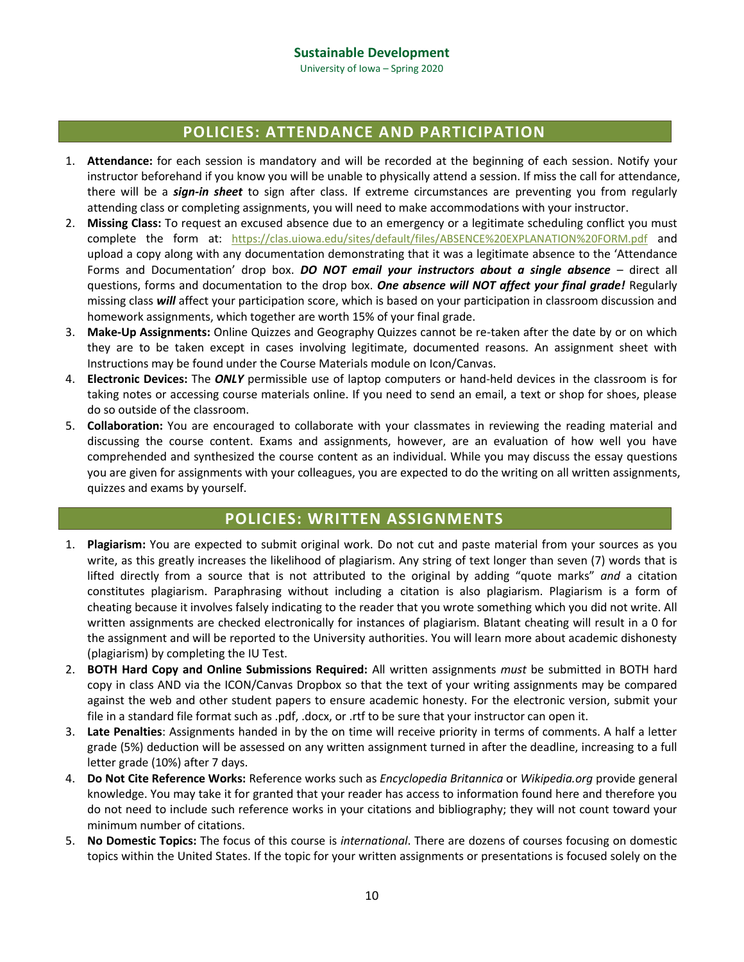## **POLICIES: ATTENDANCE AND PARTICIPATION**

- 1. **Attendance:** for each session is mandatory and will be recorded at the beginning of each session. Notify your instructor beforehand if you know you will be unable to physically attend a session. If miss the call for attendance, there will be a *sign-in sheet* to sign after class. If extreme circumstances are preventing you from regularly attending class or completing assignments, you will need to make accommodations with your instructor.
- 2. **Missing Class:** To request an excused absence due to an emergency or a legitimate scheduling conflict you must complete the form at: <https://clas.uiowa.edu/sites/default/files/ABSENCE%20EXPLANATION%20FORM.pdf> and upload a copy along with any documentation demonstrating that it was a legitimate absence to the 'Attendance Forms and Documentation' drop box. *DO NOT email your instructors about a single absence* – direct all questions, forms and documentation to the drop box. *One absence will NOT affect your final grade!* Regularly missing class *will* affect your participation score, which is based on your participation in classroom discussion and homework assignments, which together are worth 15% of your final grade.
- 3. **Make-Up Assignments:** Online Quizzes and Geography Quizzes cannot be re-taken after the date by or on which they are to be taken except in cases involving legitimate, documented reasons. An assignment sheet with Instructions may be found under the Course Materials module on Icon/Canvas.
- 4. **Electronic Devices:** The *ONLY* permissible use of laptop computers or hand-held devices in the classroom is for taking notes or accessing course materials online. If you need to send an email, a text or shop for shoes, please do so outside of the classroom.
- 5. **Collaboration:** You are encouraged to collaborate with your classmates in reviewing the reading material and discussing the course content. Exams and assignments, however, are an evaluation of how well you have comprehended and synthesized the course content as an individual. While you may discuss the essay questions you are given for assignments with your colleagues, you are expected to do the writing on all written assignments, quizzes and exams by yourself.

### **POLICIES: WRITTEN ASSIGNMENTS**

- 1. **Plagiarism:** You are expected to submit original work. Do not cut and paste material from your sources as you write, as this greatly increases the likelihood of plagiarism. Any string of text longer than seven (7) words that is lifted directly from a source that is not attributed to the original by adding "quote marks" *and* a citation constitutes plagiarism. Paraphrasing without including a citation is also plagiarism. Plagiarism is a form of cheating because it involves falsely indicating to the reader that you wrote something which you did not write. All written assignments are checked electronically for instances of plagiarism. Blatant cheating will result in a 0 for the assignment and will be reported to the University authorities. You will learn more about academic dishonesty (plagiarism) by completing the IU Test.
- 2. **BOTH Hard Copy and Online Submissions Required:** All written assignments *must* be submitted in BOTH hard copy in class AND via the ICON/Canvas Dropbox so that the text of your writing assignments may be compared against the web and other student papers to ensure academic honesty. For the electronic version, submit your file in a standard file format such as .pdf, .docx, or .rtf to be sure that your instructor can open it.
- 3. **Late Penalties**: Assignments handed in by the on time will receive priority in terms of comments. A half a letter grade (5%) deduction will be assessed on any written assignment turned in after the deadline, increasing to a full letter grade (10%) after 7 days.
- 4. **Do Not Cite Reference Works:** Reference works such as *Encyclopedia Britannica* or *Wikipedia.org* provide general knowledge. You may take it for granted that your reader has access to information found here and therefore you do not need to include such reference works in your citations and bibliography; they will not count toward your minimum number of citations.
- 5. **No Domestic Topics:** The focus of this course is *international*. There are dozens of courses focusing on domestic topics within the United States. If the topic for your written assignments or presentations is focused solely on the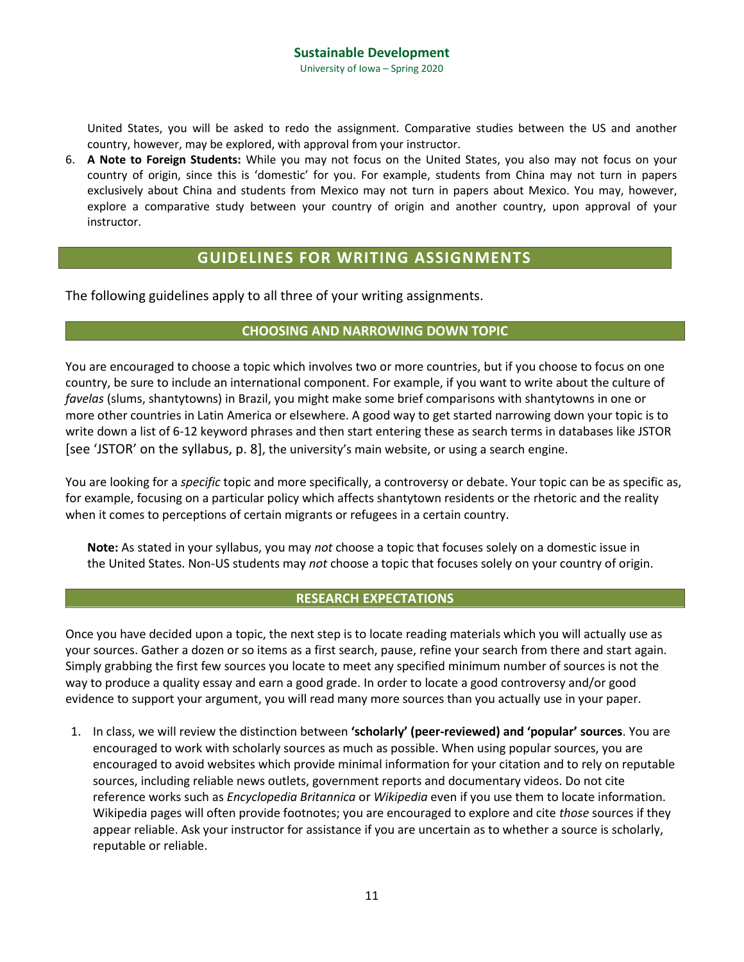United States, you will be asked to redo the assignment. Comparative studies between the US and another country, however, may be explored, with approval from your instructor.

6. **A Note to Foreign Students:** While you may not focus on the United States, you also may not focus on your country of origin, since this is 'domestic' for you. For example, students from China may not turn in papers exclusively about China and students from Mexico may not turn in papers about Mexico. You may, however, explore a comparative study between your country of origin and another country, upon approval of your instructor.

## **GUIDELINES FOR WRITING ASSIGNMENTS**

The following guidelines apply to all three of your writing assignments.

#### **CHOOSING AND NARROWING DOWN TOPIC**

You are encouraged to choose a topic which involves two or more countries, but if you choose to focus on one country, be sure to include an international component. For example, if you want to write about the culture of *favelas* (slums, shantytowns) in Brazil, you might make some brief comparisons with shantytowns in one or more other countries in Latin America or elsewhere. A good way to get started narrowing down your topic is to write down a list of 6-12 keyword phrases and then start entering these as search terms in databases like JSTOR [see 'JSTOR' on the syllabus, p. 8], the university's main website, or using a search engine.

You are looking for a *specific* topic and more specifically, a controversy or debate. Your topic can be as specific as, for example, focusing on a particular policy which affects shantytown residents or the rhetoric and the reality when it comes to perceptions of certain migrants or refugees in a certain country.

**Note:** As stated in your syllabus, you may *not* choose a topic that focuses solely on a domestic issue in the United States. Non-US students may *not* choose a topic that focuses solely on your country of origin.

#### **RESEARCH EXPECTATIONS**

Once you have decided upon a topic, the next step is to locate reading materials which you will actually use as your sources. Gather a dozen or so items as a first search, pause, refine your search from there and start again. Simply grabbing the first few sources you locate to meet any specified minimum number of sources is not the way to produce a quality essay and earn a good grade. In order to locate a good controversy and/or good evidence to support your argument, you will read many more sources than you actually use in your paper.

1. In class, we will review the distinction between **'scholarly' (peer-reviewed) and 'popular' sources**. You are encouraged to work with scholarly sources as much as possible. When using popular sources, you are encouraged to avoid websites which provide minimal information for your citation and to rely on reputable sources, including reliable news outlets, government reports and documentary videos. Do not cite reference works such as *Encyclopedia Britannica* or *Wikipedia* even if you use them to locate information. Wikipedia pages will often provide footnotes; you are encouraged to explore and cite *those* sources if they appear reliable. Ask your instructor for assistance if you are uncertain as to whether a source is scholarly, reputable or reliable.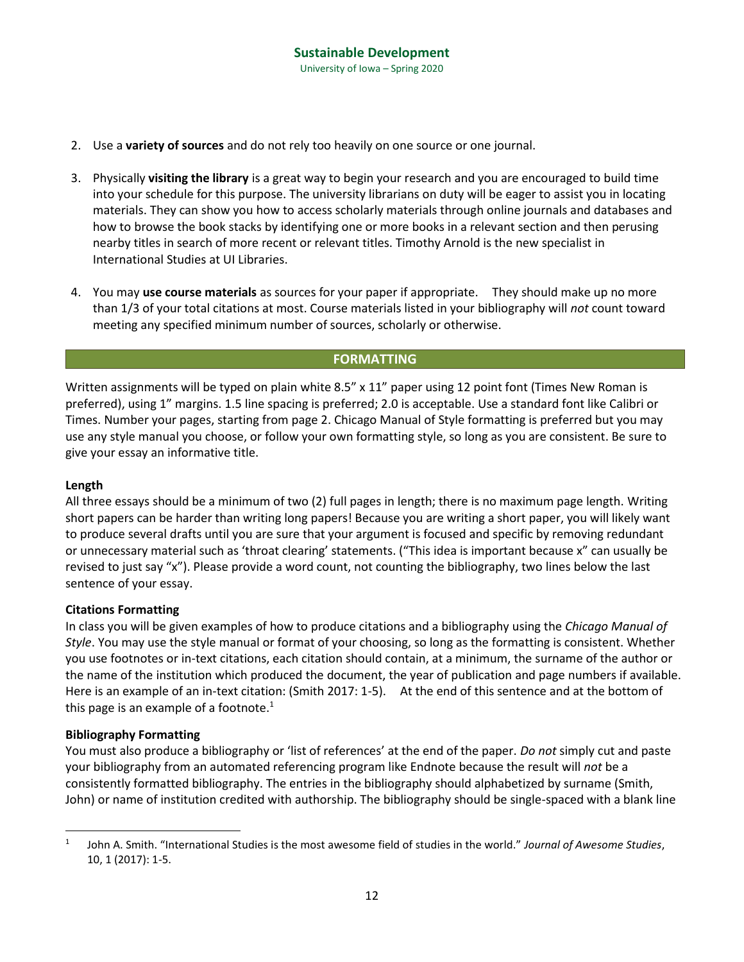- 2. Use a **variety of sources** and do not rely too heavily on one source or one journal.
- 3. Physically **visiting the library** is a great way to begin your research and you are encouraged to build time into your schedule for this purpose. The university librarians on duty will be eager to assist you in locating materials. They can show you how to access scholarly materials through online journals and databases and how to browse the book stacks by identifying one or more books in a relevant section and then perusing nearby titles in search of more recent or relevant titles. Timothy Arnold is the new specialist in International Studies at UI Libraries.
- 4. You may **use course materials** as sources for your paper if appropriate. They should make up no more than 1/3 of your total citations at most. Course materials listed in your bibliography will *not* count toward meeting any specified minimum number of sources, scholarly or otherwise.

#### **FORMATTING**

Written assignments will be typed on plain white 8.5" x 11" paper using 12 point font (Times New Roman is preferred), using 1" margins. 1.5 line spacing is preferred; 2.0 is acceptable. Use a standard font like Calibri or Times. Number your pages, starting from page 2. Chicago Manual of Style formatting is preferred but you may use any style manual you choose, or follow your own formatting style, so long as you are consistent. Be sure to give your essay an informative title.

#### **Length**

All three essays should be a minimum of two (2) full pages in length; there is no maximum page length. Writing short papers can be harder than writing long papers! Because you are writing a short paper, you will likely want to produce several drafts until you are sure that your argument is focused and specific by removing redundant or unnecessary material such as 'throat clearing' statements. ("This idea is important because x" can usually be revised to just say "x"). Please provide a word count, not counting the bibliography, two lines below the last sentence of your essay.

#### **Citations Formatting**

In class you will be given examples of how to produce citations and a bibliography using the *Chicago Manual of Style*. You may use the style manual or format of your choosing, so long as the formatting is consistent. Whether you use footnotes or in-text citations, each citation should contain, at a minimum, the surname of the author or the name of the institution which produced the document, the year of publication and page numbers if available. Here is an example of an in-text citation: (Smith 2017: 1-5). At the end of this sentence and at the bottom of this page is an example of a footnote. $1$ 

#### **Bibliography Formatting**

 $\overline{a}$ 

You must also produce a bibliography or 'list of references' at the end of the paper. *Do not* simply cut and paste your bibliography from an automated referencing program like Endnote because the result will *not* be a consistently formatted bibliography. The entries in the bibliography should alphabetized by surname (Smith, John) or name of institution credited with authorship. The bibliography should be single-spaced with a blank line

<sup>1</sup> John A. Smith. "International Studies is the most awesome field of studies in the world." *Journal of Awesome Studies*, 10, 1 (2017): 1-5.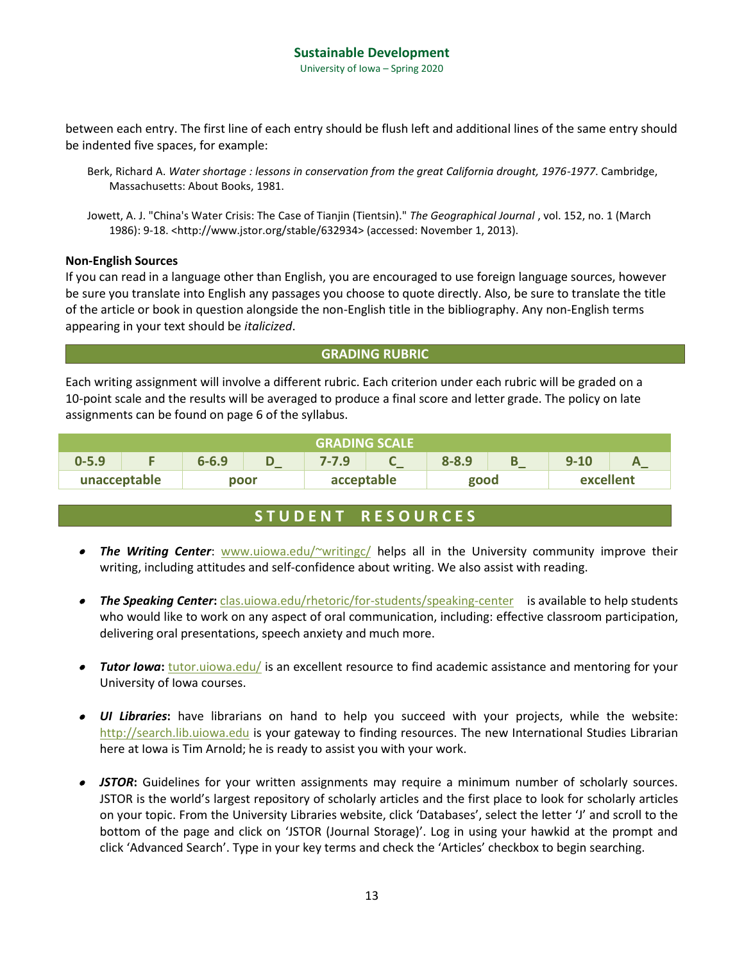University of Iowa – Spring 2020

between each entry. The first line of each entry should be flush left and additional lines of the same entry should be indented five spaces, for example:

Berk, Richard A. *Water shortage : lessons in conservation from the great California drought, 1976-1977*. Cambridge, Massachusetts: About Books, 1981.

Jowett, A. J. "China's Water Crisis: The Case of Tianjin (Tientsin)." *The Geographical Journal* , vol. 152, no. 1 (March 1986): 9-18. <http://www.jstor.org/stable/632934> (accessed: November 1, 2013).

#### **Non-English Sources**

If you can read in a language other than English, you are encouraged to use foreign language sources, however be sure you translate into English any passages you choose to quote directly. Also, be sure to translate the title of the article or book in question alongside the non-English title in the bibliography. Any non-English terms appearing in your text should be *italicized*.

#### **GRADING RUBRIC**

Each writing assignment will involve a different rubric. Each criterion under each rubric will be graded on a 10-point scale and the results will be averaged to produce a final score and letter grade. The policy on late assignments can be found on page 6 of the syllabus.

| <b>GRADING SCALE</b> ' |  |           |                          |            |   |           |  |           |  |
|------------------------|--|-----------|--------------------------|------------|---|-----------|--|-----------|--|
| $0 - 5.9$              |  | $6 - 6.9$ | $\overline{\phantom{0}}$ | $7 - 7.9$  | _ | $8 - 8.9$ |  | $9 - 10$  |  |
| unacceptable           |  | poor      |                          | acceptable |   | good      |  | excellent |  |

### **S T U D E N T R E S O U R C E S**

- **The Writing Center**: **[www.uiowa.edu/~writingc/](http://www.uiowa.edu/~writingc/)** helps all in the University community improve their writing, including attitudes and self-confidence about writing. We also assist with reading.
- **The Speaking Center:** *[clas.uiowa.edu/rhetoric/for-students/speaking-center](http://clas.uiowa.edu/rhetoric/for-students/speaking-center)* is available to help students who would like to work on any aspect of oral communication, including: effective classroom participation, delivering oral presentations, speech anxiety and much more.
- Tutor lowa: **[tutor.uiowa.edu/](http://tutor.uiowa.edu/)** is an excellent resource to find academic assistance and mentoring for your University of Iowa courses.
- *UI Libraries***:** have librarians on hand to help you succeed with your projects, while the website: [http://search.lib.uiowa.edu](http://search.lib.uiowa.edu/) is your gateway to finding resources. The new International Studies Librarian here at Iowa is Tim Arnold; he is ready to assist you with your work.
- *JSTOR***:** Guidelines for your written assignments may require a minimum number of scholarly sources. JSTOR is the world's largest repository of scholarly articles and the first place to look for scholarly articles on your topic. From the University Libraries website, click 'Databases', select the letter 'J' and scroll to the bottom of the page and click on 'JSTOR (Journal Storage)'. Log in using your hawkid at the prompt and click 'Advanced Search'. Type in your key terms and check the 'Articles' checkbox to begin searching.